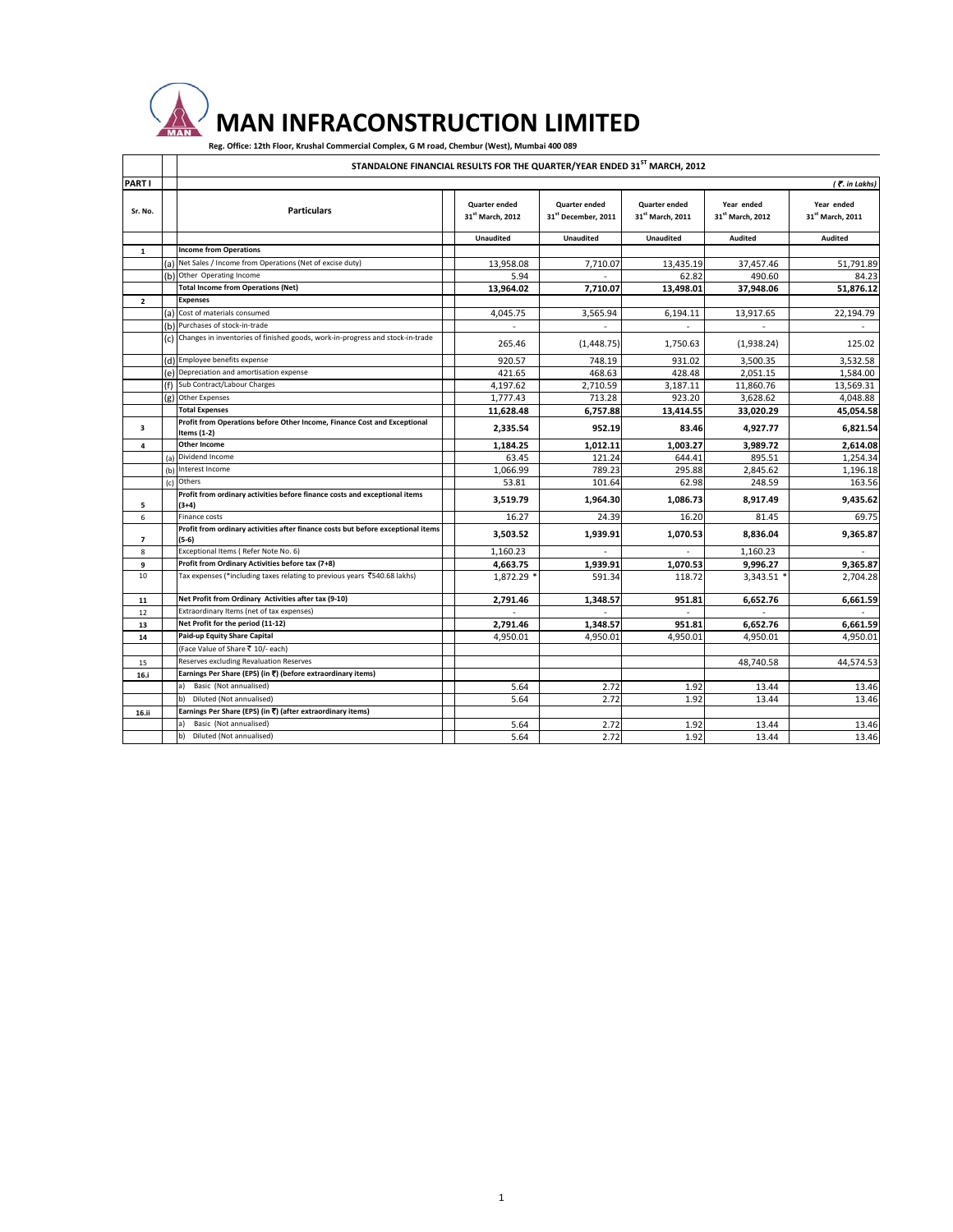## **MAN INFRACONSTRUCTION LIMITED**

Reg. Office: 12th Floor, Krushal Commercial Complex, G M road, Chembur (West), Mumbai 400 089

## **STANDALONE FINANCIAL RESULTS FOR THE QUARTER/YEAR ENDED 31ST MARCH, 2012**

|                         |     | STANDALONE FINANCIAL RESULTS FOR THE QUARTER/YEAR ENDED 31ST MARCH, 2012                  |                                               |                                                         |                                                      |                                            |                                            |
|-------------------------|-----|-------------------------------------------------------------------------------------------|-----------------------------------------------|---------------------------------------------------------|------------------------------------------------------|--------------------------------------------|--------------------------------------------|
| PART I                  |     |                                                                                           |                                               |                                                         |                                                      |                                            | ( . in Lakhs)                              |
| Sr. No.                 |     | <b>Particulars</b>                                                                        | Quarter ended<br>31 <sup>st</sup> March. 2012 | <b>Quarter ended</b><br>31 <sup>st</sup> December, 2011 | <b>Quarter ended</b><br>31 <sup>st</sup> March. 2011 | Year ended<br>31 <sup>st</sup> March. 2012 | Year ended<br>31 <sup>st</sup> March, 2011 |
|                         |     |                                                                                           | Unaudited                                     | <b>Unaudited</b>                                        | Unaudited                                            | Audited                                    | Audited                                    |
| $\mathbf{1}$            |     | <b>Income from Operations</b>                                                             |                                               |                                                         |                                                      |                                            |                                            |
|                         | (a) | Net Sales / Income from Operations (Net of excise duty)                                   | 13,958.08                                     | 7,710.07                                                | 13,435.19                                            | 37,457.46                                  | 51,791.89                                  |
|                         |     | (b) Other Operating Income                                                                | 5.94                                          |                                                         | 62.82                                                | 490.60                                     | 84.23                                      |
|                         |     | <b>Total Income from Operations (Net)</b>                                                 | 13,964.02                                     | 7,710.07                                                | 13,498.01                                            | 37,948.06                                  | 51,876.12                                  |
| $\overline{2}$          |     | <b>Expenses</b>                                                                           |                                               |                                                         |                                                      |                                            |                                            |
|                         |     | (a) Cost of materials consumed                                                            | 4.045.75                                      | 3,565.94                                                | 6.194.11                                             | 13,917.65                                  | 22.194.79                                  |
|                         |     | (b) Purchases of stock-in-trade                                                           |                                               |                                                         |                                                      |                                            |                                            |
|                         |     | (c) Changes in inventories of finished goods, work-in-progress and stock-in-trade         | 265.46                                        | (1, 448.75)                                             | 1,750.63                                             | (1,938.24)                                 | 125.02                                     |
|                         |     | (d) Employee benefits expense                                                             | 920.57                                        | 748.19                                                  | 931.02                                               | 3,500.35                                   | 3,532.58                                   |
|                         |     | (e) Depreciation and amortisation expense                                                 | 421.65                                        | 468.63                                                  | 428.48                                               | 2,051.15                                   | 1,584.00                                   |
|                         |     | (f) Sub Contract/Labour Charges                                                           | 4,197.62                                      | 2,710.59                                                | 3,187.11                                             | 11,860.76                                  | 13,569.31                                  |
|                         |     | (g) Other Expenses                                                                        | 1,777.43                                      | 713.28                                                  | 923.20                                               | 3,628.62                                   | 4,048.88                                   |
|                         |     | <b>Total Expenses</b>                                                                     | 11,628.48                                     | 6,757.88                                                | 13,414.55                                            | 33,020.29                                  | 45,054.58                                  |
| $\overline{\mathbf{3}}$ |     | Profit from Operations before Other Income, Finance Cost and Exceptional<br>Items (1-2)   | 2,335.54                                      | 952.19                                                  | 83.46                                                | 4,927.77                                   | 6,821.54                                   |
| 4                       |     | <b>Other Income</b>                                                                       | 1,184.25                                      | 1,012.11                                                | 1,003.27                                             | 3,989.72                                   | 2,614.08                                   |
|                         | (a) | Dividend Income                                                                           | 63.45                                         | 121.24                                                  | 644.41                                               | 895.51                                     | 1,254.34                                   |
|                         | (b) | Interest Income                                                                           | 1,066.99                                      | 789.23                                                  | 295.88                                               | 2,845.62                                   | 1,196.18                                   |
|                         | (c) | Others                                                                                    | 53.81                                         | 101.64                                                  | 62.98                                                | 248.59                                     | 163.56                                     |
| 5                       |     | Profit from ordinary activities before finance costs and exceptional items<br>$(3+4)$     | 3,519.79                                      | 1,964.30                                                | 1,086.73                                             | 8,917.49                                   | 9,435.62                                   |
| 6                       |     | <b>Finance costs</b>                                                                      | 16.27                                         | 24.39                                                   | 16.20                                                | 81.45                                      | 69.75                                      |
| 7                       |     | Profit from ordinary activities after finance costs but before exceptional items<br>(5-6) | 3,503.52                                      | 1,939.91                                                | 1,070.53                                             | 8.836.04                                   | 9,365.87                                   |
| 8                       |     | Exceptional Items (Refer Note No. 6)                                                      | 1,160.23                                      | $\overline{\phantom{a}}$                                | ٠                                                    | 1,160.23                                   | ٠                                          |
| 9                       |     | Profit from Ordinary Activities before tax (7+8)                                          | 4,663.75                                      | 1,939.91                                                | 1,070.53                                             | 9,996.27                                   | 9,365.87                                   |
| 10                      |     | Tax expenses (*including taxes relating to previous years ₹540.68 lakhs)                  | 1,872.29                                      | 591.34                                                  | 118.72                                               | 3,343.51                                   | 2,704.28                                   |
| 11                      |     | Net Profit from Ordinary Activities after tax (9-10)                                      | 2,791.46                                      | 1,348.57                                                | 951.81                                               | 6.652.76                                   | 6,661.59                                   |
| 12                      |     | Extraordinary Items (net of tax expenses)                                                 |                                               |                                                         |                                                      |                                            |                                            |
| 13                      |     | Net Profit for the period (11-12)                                                         | 2,791.46                                      | 1,348.57                                                | 951.81                                               | 6,652.76                                   | 6,661.59                                   |
| 14                      |     | Paid-up Equity Share Capital                                                              | 4,950.01                                      | 4,950.01                                                | 4,950.01                                             | 4,950.01                                   | 4,950.01                                   |
|                         |     | (Face Value of Share ₹ 10/- each)                                                         |                                               |                                                         |                                                      |                                            |                                            |
| 15                      |     | Reserves excluding Revaluation Reserves                                                   |                                               |                                                         |                                                      | 48,740.58                                  | 44,574.53                                  |
| 16.i                    |     | Earnings Per Share (EPS) (in ₹) (before extraordinary items)                              |                                               |                                                         |                                                      |                                            |                                            |
|                         |     | a) Basic (Not annualised)                                                                 | 5.64                                          | 2.72                                                    | 1.92                                                 | 13.44                                      | 13.46                                      |
|                         |     | Diluted (Not annualised)<br>b)                                                            | 5.64                                          | 2.72                                                    | 1.92                                                 | 13.44                                      | 13.46                                      |
| 16.ii                   |     | Earnings Per Share (EPS) (in ₹) (after extraordinary items)                               |                                               |                                                         |                                                      |                                            |                                            |
|                         |     | Basic (Not annualised)                                                                    | 5.64                                          | 2.72                                                    | 1.92                                                 | 13.44                                      | 13.46                                      |
|                         |     | Diluted (Not annualised)                                                                  | 5.64                                          | 2.72                                                    | 1.92                                                 | 13.44                                      | 13.46                                      |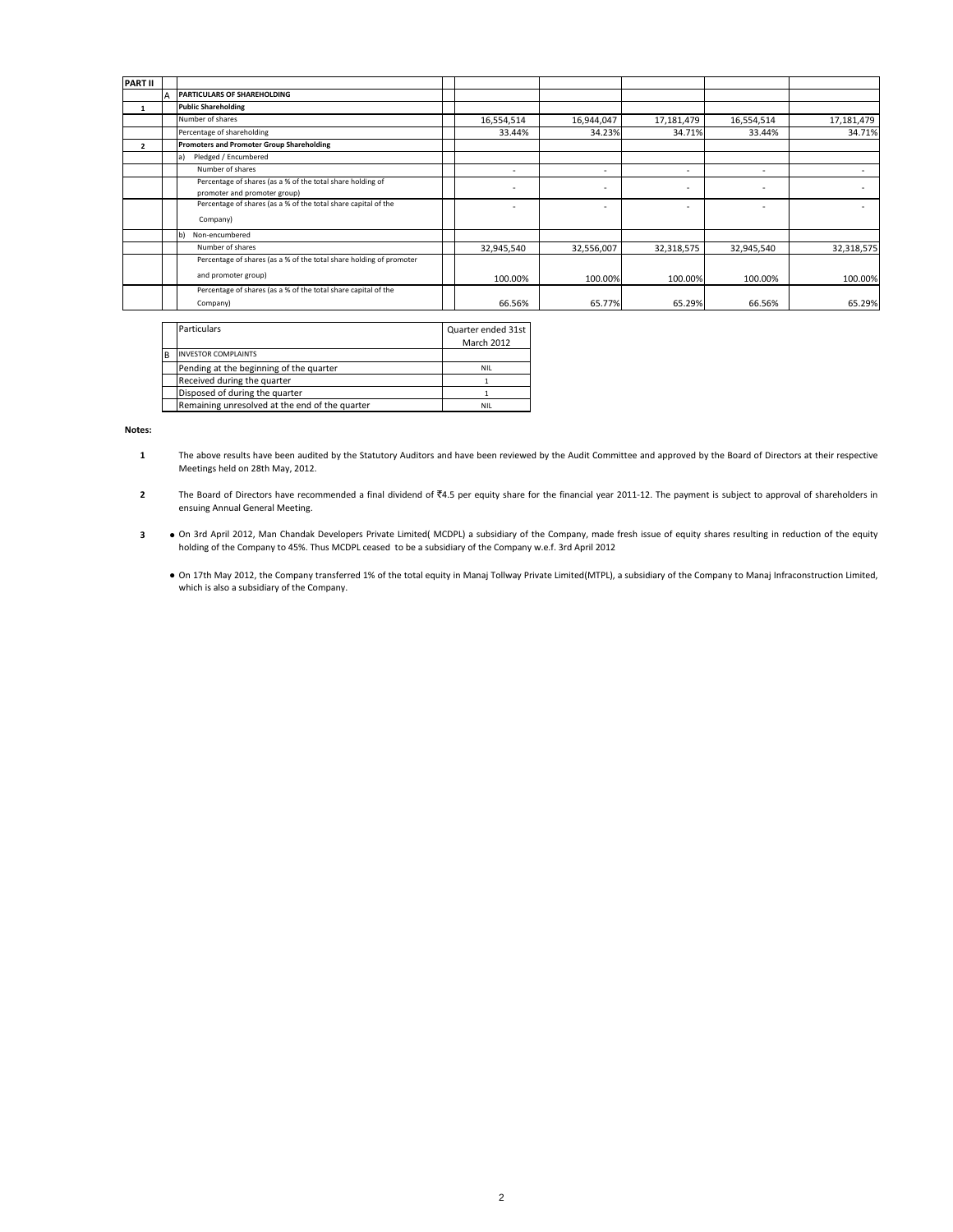| <b>PART II</b> |                                                                                            |                          |                          |            |                          |            |
|----------------|--------------------------------------------------------------------------------------------|--------------------------|--------------------------|------------|--------------------------|------------|
|                | PARTICULARS OF SHAREHOLDING                                                                |                          |                          |            |                          |            |
|                | <b>Public Shareholding</b>                                                                 |                          |                          |            |                          |            |
|                | Number of shares                                                                           | 16,554,514               | 16,944,047               | 17,181,479 | 16,554,514               | 17,181,479 |
|                | Percentage of shareholding                                                                 | 33.44%                   | 34.23%                   | 34.71%     | 33.44%                   | 34.71%     |
| $\overline{2}$ | Promoters and Promoter Group Shareholding                                                  |                          |                          |            |                          |            |
|                | Pledged / Encumbered                                                                       |                          |                          |            |                          |            |
|                | Number of shares                                                                           | $\overline{\phantom{a}}$ | $\overline{\phantom{a}}$ | ٠          | $\overline{\phantom{a}}$ |            |
|                | Percentage of shares (as a % of the total share holding of<br>promoter and promoter group) |                          | $\overline{\phantom{a}}$ |            | ۰                        |            |
|                | Percentage of shares (as a % of the total share capital of the<br>Company)                 |                          |                          |            |                          |            |
|                | Non-encumbered                                                                             |                          |                          |            |                          |            |
|                | Number of shares                                                                           | 32,945,540               | 32,556,007               | 32,318,575 | 32,945,540               | 32,318,575 |
|                | Percentage of shares (as a % of the total share holding of promoter                        |                          |                          |            |                          |            |
|                | and promoter group)                                                                        | 100.00%                  | 100.00%                  | 100.00%    | 100.00%                  | 100.00%    |
|                | Percentage of shares (as a % of the total share capital of the                             |                          |                          |            |                          |            |
|                | Company)                                                                                   | 66.56%                   | 65.77%                   | 65.29%     | 66.56%                   | 65.29%     |

|   | <b>Particulars</b>                             | Quarter ended 31st |
|---|------------------------------------------------|--------------------|
|   |                                                | March 2012         |
| B | <b>INVESTOR COMPLAINTS</b>                     |                    |
|   | Pending at the beginning of the quarter        | <b>NIL</b>         |
|   | Received during the quarter                    |                    |
|   | Disposed of during the quarter                 |                    |
|   | Remaining unresolved at the end of the quarter | NIL                |

**Notes:**

- **1** The above results have been audited by the Statutory Auditors and have been reviewed by the Audit Committee and approved by the Board of Directors at their respective Meetings held on 28th May, 2012.
- **2** The Board of Directors have recommended a final dividend of ₹4.5 per equity share for the financial year 2011-12. The payment is subject to approval of shareholders in ensuing Annual General Meeting.
- **3 ●** On 3rd April 2012, Man Chandak Developers Private Limited( MCDPL) a subsidiary of the Company, made fresh issue of equity shares resulting in reduction of the equity holding of the Company to 45%. Thus MCDPL ceased to be a subsidiary of the Company w.e.f. 3rd April 2012
	- **●** On 17th May 2012, the Company transferred 1% of the total equity in Manaj Tollway Private Limited(MTPL), a subsidiary of the Company to Manaj Infraconstruction Limited, which is also a subsidiary of the Company.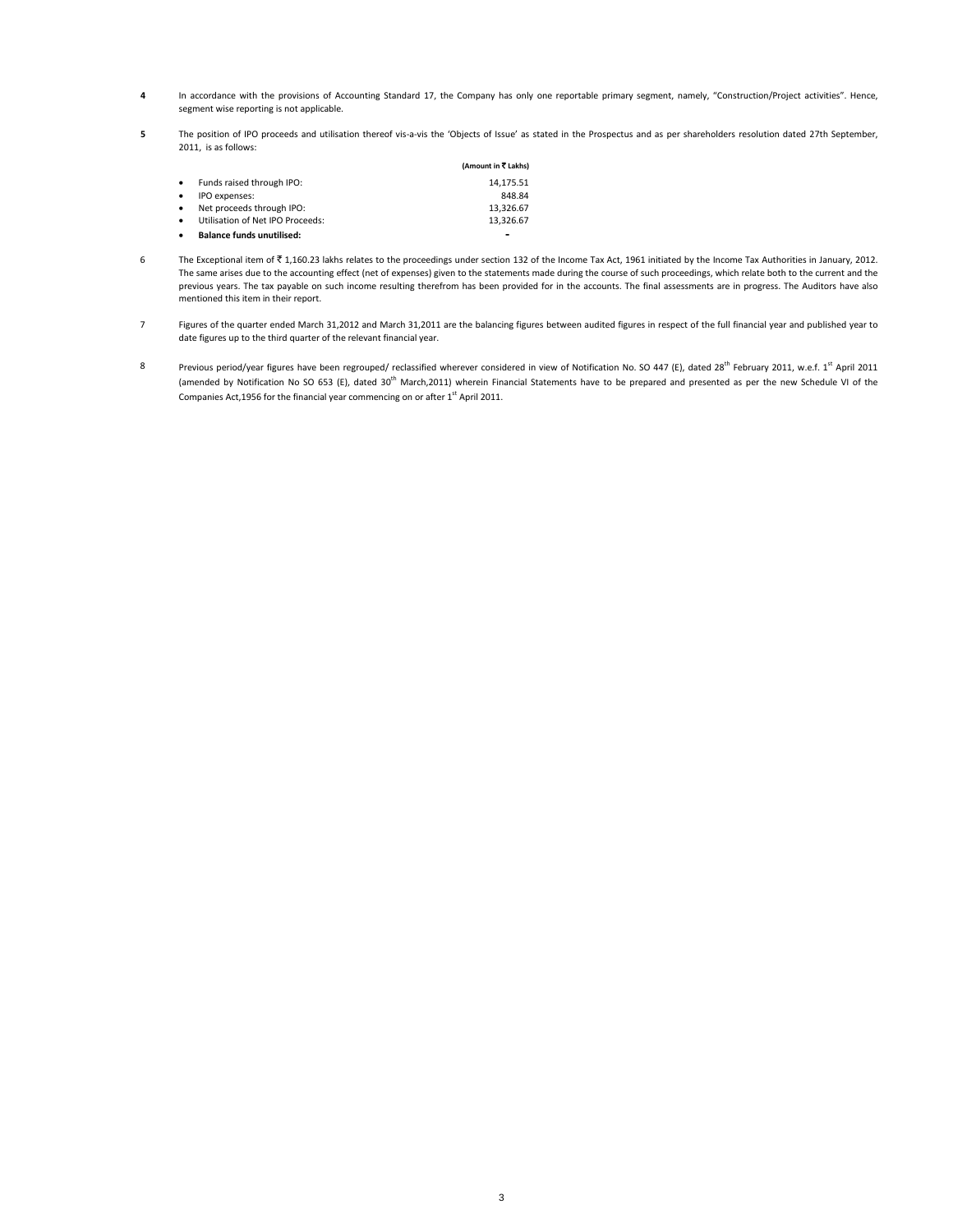- **4** In accordance with the provisions of Accounting Standard 17, the Company has only one reportable primary segment, namely, "Construction/Project activities". Hence, segment wise reporting is not applicable.
- **5** The position of IPO proceeds and utilisation thereof vis-a-vis the 'Objects of Issue' as stated in the Prospectus and as per shareholders resolution dated 27th September, 2011, is as follows:

|                                       | (Amount in ₹ Lakhs)      |
|---------------------------------------|--------------------------|
| Funds raised through IPO:             | 14,175.51                |
| IPO expenses:                         | 848.84                   |
| Net proceeds through IPO:             | 13,326.67                |
| Utilisation of Net IPO Proceeds:<br>٠ | 13,326.67                |
| <b>Balance funds unutilised:</b>      | $\overline{\phantom{0}}$ |

- 6 The Exceptional item of  $\bar{\tau}$  1,160.23 lakhs relates to the proceedings under section 132 of the Income Tax Act, 1961 initiated by the Income Tax Authorities in January, 2012. The same arises due to the accounting effect (net of expenses) given to the statements made during the course of such proceedings, which relate both to the current and the previous years. The tax payable on such income resulting therefrom has been provided for in the accounts. The final assessments are in progress. The Auditors have also mentioned this item in their report.
- 7 Figures of the quarter ended March 31,2012 and March 31,2011 are the balancing figures between audited figures in respect of the full financial year and published year to date figures up to the third quarter of the relevant financial year.
- 8 Previous period/year figures have been regrouped/ reclassified wherever considered in view of Notification No. SO 447 (E), dated 28<sup>th</sup> February 2011, w.e.f. 1<sup>st</sup> April 2011 (amended by Notification No SO 653 (E), dated 30<sup>th</sup> March,2011) wherein Financial Statements have to be prepared and presented as per the new Schedule VI of the Companies Act, 1956 for the financial year commencing on or after  $1<sup>st</sup>$  April 2011.